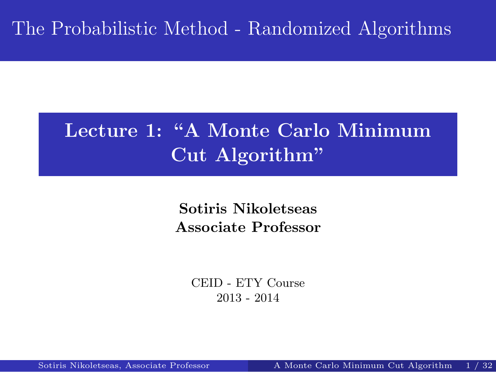The Probabilistic Method - Randomized Algorithms

**Lecture 1: "A Monte Carlo Minimum Cut Algorithm"**

> **Sotiris Nikoletseas Associate Professor**

CEID - ETY Course 2013 - 2014

Sotiris Nikoletseas, Associate Professor  $\blacksquare$  A Monte Carlo Minimum Cut Algorithm  $\blacksquare$  1 / 32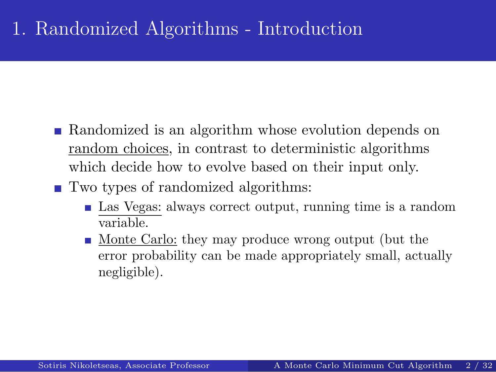# 1. Randomized Algorithms - Introduction

- **Randomized is an algorithm whose evolution depends on** random choices, in contrast to deterministic algorithms which decide how to evolve based on their input only.
- Two types of randomized algorithms:
	- $\blacksquare$ <br> Las Vegas: always correct output, running time is a random variable.
	- Monte Carlo: they may produce wrong output (but the error probability can be made appropriately small, actually negligible).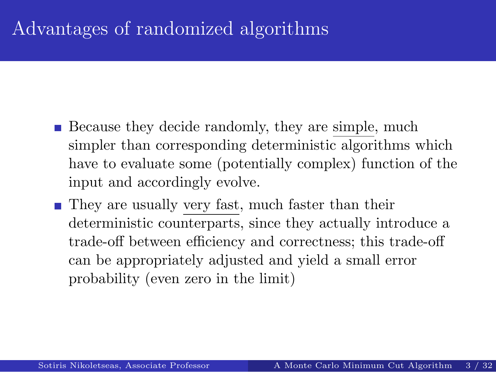## Advantages of randomized algorithms

- Because they decide randomly, they are simple, much simpler than corresponding deterministic algorithms which have to evaluate some (potentially complex) function of the input and accordingly evolve.
- $\blacksquare$  <br> They are usually very fast, much faster than their deterministic counterparts, since they actually introduce a trade-off between efficiency and correctness; this trade-off can be appropriately adjusted and yield a small error probability (even zero in the limit)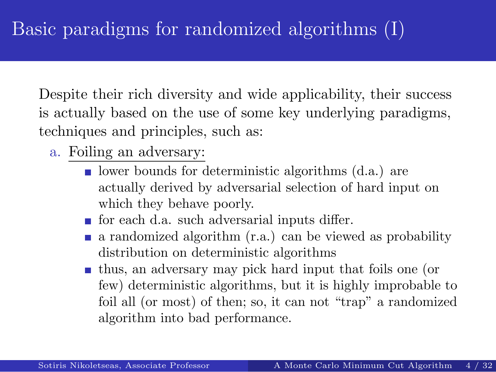## Basic paradigms for randomized algorithms (I)

Despite their rich diversity and wide applicability, their success is actually based on the use of some key underlying paradigms, techniques and principles, such as:

### a. Foiling an adversary:

- lower bounds for deterministic algorithms  $(d.a.)$  are actually derived by adversarial selection of hard input on which they behave poorly.
- **for** for each d.a. such adversarial inputs differ.
- $\blacksquare$  a randomized algorithm (r.a.) can be viewed as probability distribution on deterministic algorithms
- thus, an adversary may pick hard input that foils one (or few) deterministic algorithms, but it is highly improbable to foil all (or most) of then; so, it can not "trap" a randomized algorithm into bad performance.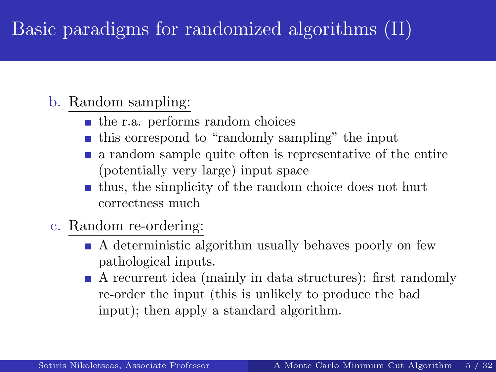# Basic paradigms for randomized algorithms (II)

### b. Random sampling:

- $\blacksquare$  the r.a. performs random choices
- $\blacksquare$  this correspond to "randomly sampling" the input
- a random sample quite often is representative of the entire (potentially very large) input space
- $\blacksquare$  thus, the simplicity of the random choice does not hurt correctness much

#### c. Random re-ordering:

- $\blacksquare$  A deterministic algorithm usually behaves poorly on few pathological inputs.
- A recurrent idea (mainly in data structures): first randomly re-order the input (this is unlikely to produce the bad input); then apply a standard algorithm.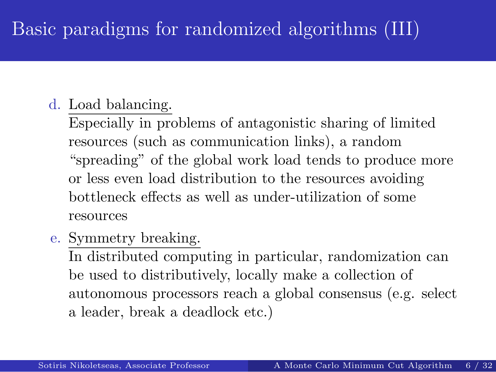# Basic paradigms for randomized algorithms (III)

### d. Load balancing.

Especially in problems of antagonistic sharing of limited resources (such as communication links), a random "spreading" of the global work load tends to produce more or less even load distribution to the resources avoiding bottleneck effects as well as under-utilization of some resources

### e. Symmetry breaking.

In distributed computing in particular, randomization can be used to distributively, locally make a collection of autonomous processors reach a global consensus (e.g. select a leader, break a deadlock etc.)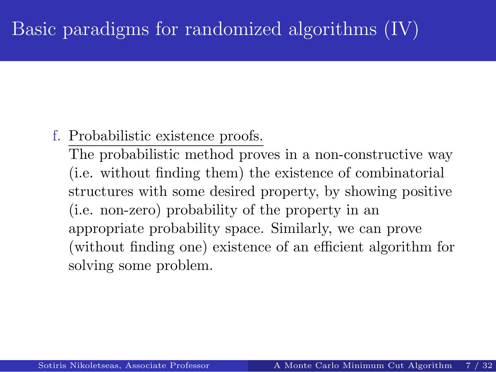# Basic paradigms for randomized algorithms (IV)

### f. Probabilistic existence proofs.

The probabilistic method proves in a non-constructive way (i.e. without finding them) the existence of combinatorial structures with some desired property, by showing positive (i.e. non-zero) probability of the property in an appropriate probability space. Similarly, we can prove (without finding one) existence of an efficient algorithm for solving some problem.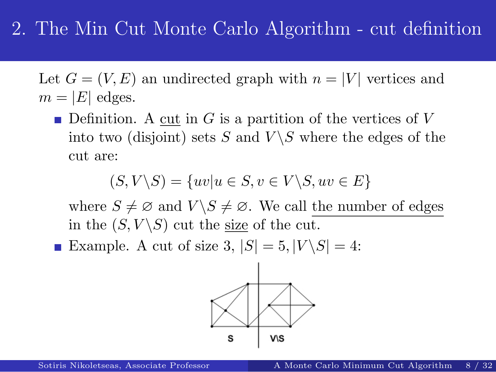## 2. The Min Cut Monte Carlo Algorithm - cut definition

Let  $G = (V, E)$  an undirected graph with  $n = |V|$  vertices and  $m = |E|$  edges.

 $\blacksquare$  Definition. A <u>cut</u> in  $G$  is a partition of the vertices of  $V$ into two (disjoint) sets *S* and  $V \ S$  where the edges of the cut are:

$$
(S, V \setminus S) = \{uv | u \in S, v \in V \setminus S, uv \in E\}
$$

where  $S \neq \emptyset$  and  $V \ S \neq \emptyset$ . We call the number of edges in the  $(S, V \setminus S)$  cut the <u>size</u> of the cut.

Example. A cut of size 3,  $|S| = 5$ ,  $|V \setminus S| = 4$ :

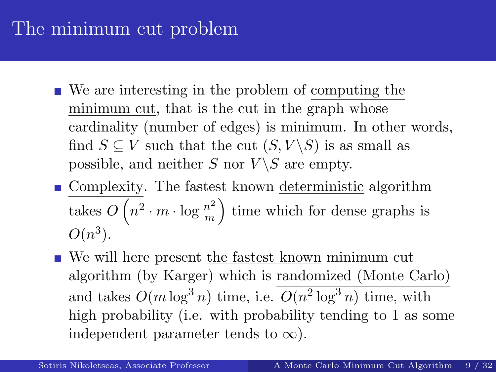### The minimum cut problem

- We are interesting in the problem of computing the minimum cut, that is the cut in the graph whose cardinality (number of edges) is minimum. In other words, find  $S \subseteq V$  such that the cut  $(S, V \backslash S)$  is as small as possible, and neither *S* nor  $V \ S$  are empty.
- $\blacksquare$  Complexity. The fastest known deterministic algorithm  $\frac{1}{6}$  takes  $O(n^2 \cdot m \cdot \log \frac{n^2}{m})$ *m* ) time which for dense graphs is  $O(n^3)$ .
- We will here present the fastest known minimum cut algorithm (by Karger) which is randomized (Monte Carlo) and takes  $O(m \log^3 n)$  time, i.e.  $O(n^2 \log^3 n)$  time, with high probability (i.e. with probability tending to 1 as some independent parameter tends to  $\infty$ ).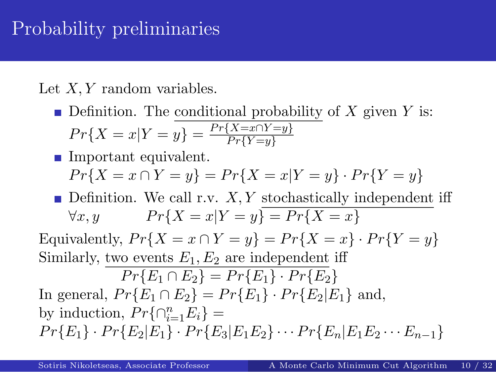## Probability preliminaries

Let *X, Y* random variables.

- Definition. The conditional probability of *X* given *Y* is:  $Pr{X = x | Y = y} = \frac{Pr{X = x ∩ Y = y}}{Pr{Y = y}}$  $Pr{Y=y}$
- **Important equivalent.**  $Pr{X = x \cap Y = y} = Pr{X = x|Y = y} \cdot Pr{Y = y}$
- Definition. We call r.v. *X, Y* stochastically independent iff *∀x*, *y*  $Pr{X = x | Y = y} = Pr{X = x}$

Equivalently,  $Pr{X = x \cap Y = y} = Pr{X = x} \cdot Pr{Y = y}$ Similarly, two events  $E_1, E_2$  are independent iff

 $Pr{E_1 \cap E_2} = Pr{E_1} \cdot Pr{E_2}$ In general,  $Pr{E_1 \cap E_2} = Pr{E_1} \cdot Pr{E_2|E_1}$  and, by induction,  $Pr\{\cap_{i=1}^n E_i\}$  =  $Pr{E_1} \cdot Pr{E_2|E_1} \cdot Pr{E_3|E_1E_2} \cdot \cdot \cdot Pr{E_n|E_1E_2} \cdot \cdot \cdot E_{n-1}$ 

Monte Carlo Minimum Cut Algorithm 10 / 32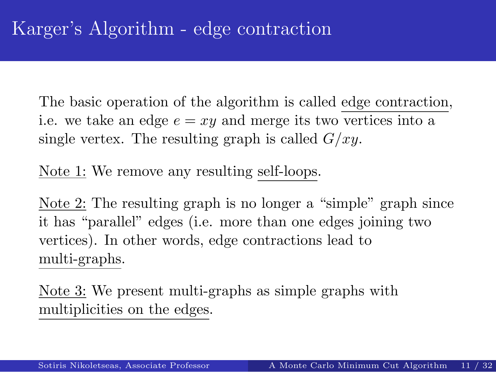## Karger's Algorithm - edge contraction

The basic operation of the algorithm is called edge contraction, i.e. we take an edge  $e = xy$  and merge its two vertices into a single vertex. The resulting graph is called *G/xy*.

Note 1: We remove any resulting self-loops.

Note 2: The resulting graph is no longer a "simple" graph since it has "parallel" edges (i.e. more than one edges joining two vertices). In other words, edge contractions lead to multi-graphs.

Note 3: We present multi-graphs as simple graphs with multiplicities on the edges.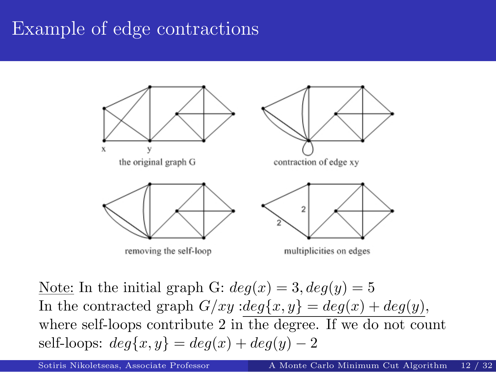# Example of edge contractions



Note: In the initial graph G:  $deg(x) = 3, deg(y) = 5$ In the contracted graph  $G/xy$  : $deg\{x, y\} = deg(x) + deg(y)$ , where self-loops contribute 2 in the degree. If we do not count self-loops: *deg{x, y}* = *deg*(*x*) + *deg*(*y*) *−* 2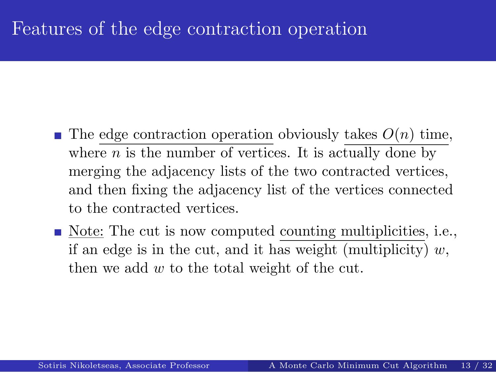## Features of the edge contraction operation

- The edge contraction operation obviously takes  $O(n)$  time, where  $n$  is the number of vertices. It is actually done by merging the adjacency lists of the two contracted vertices, and then fixing the adjacency list of the vertices connected to the contracted vertices.
- Note: The cut is now computed counting multiplicities, i.e., if an edge is in the cut, and it has weight (multiplicity) *w*, then we add *w* to the total weight of the cut.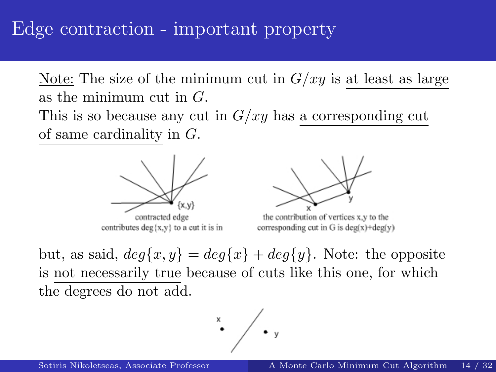## Edge contraction - important property

Note: The size of the minimum cut in  $G/xy$  is at least as large as the minimum cut in *G*.

This is so because any cut in *G/xy* has a corresponding cut of same cardinality in *G*.





corresponding cut in G is deg(x)+deg(y)

but, as said,  $deg{x, y} = deg{x} + deg{y}$ . Note: the opposite is not necessarily true because of cuts like this one, for which the degrees do not add.

 $\cdot$  /  $\cdot$  ,

Sotiris Nikoletseas, Associate Professor A Monte Carlo Minimum Cut Algorithm 14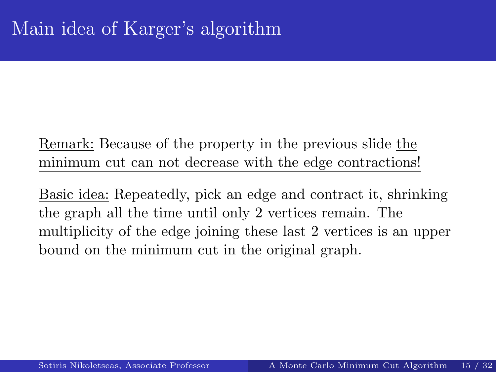# Main idea of Karger's algorithm

Remark: Because of the property in the previous slide the minimum cut can not decrease with the edge contractions!

Basic idea: Repeatedly, pick an edge and contract it, shrinking the graph all the time until only 2 vertices remain. The multiplicity of the edge joining these last 2 vertices is an upper bound on the minimum cut in the original graph.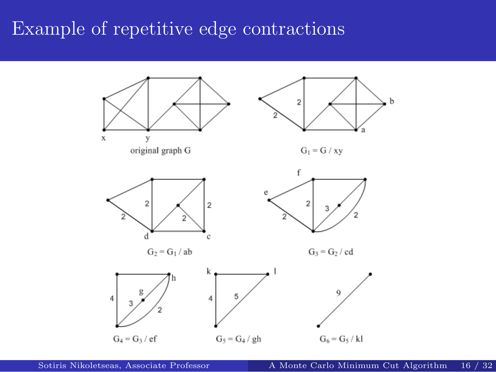# Example of repetitive edge contractions

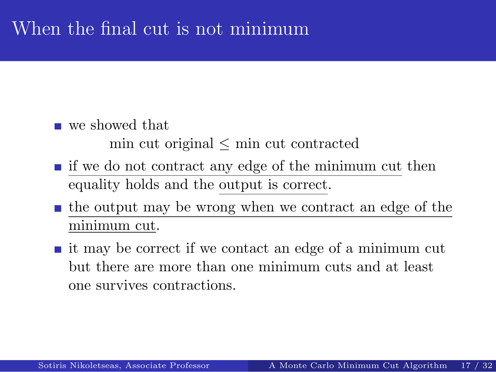### When the final cut is not minimum

- $\blacksquare$  we showed that
	- min cut original  $\leq$  min cut contracted
- $\blacksquare$  if we do not contract any edge of the minimum cut then equality holds and the output is correct.
- $\blacksquare$  the output may be wrong when we contract an edge of the minimum cut.
- $\blacksquare$  it may be correct if we contact an edge of a minimum cut but there are more than one minimum cuts and at least one survives contractions.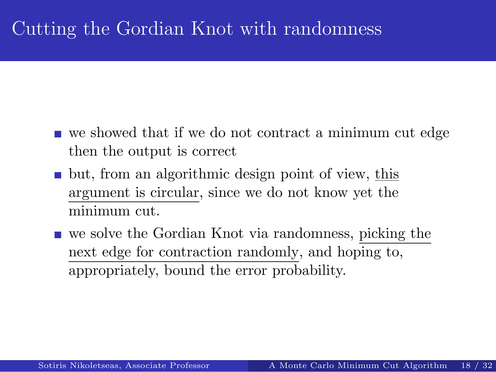## Cutting the Gordian Knot with randomness

- $\blacksquare$  we showed that if we do not contract a minimum cut edge then the output is correct
- **but, from an algorithmic design point of view, this** argument is circular, since we do not know yet the minimum cut.
- we solve the Gordian Knot via randomness, picking the next edge for contraction randomly, and hoping to, appropriately, bound the error probability.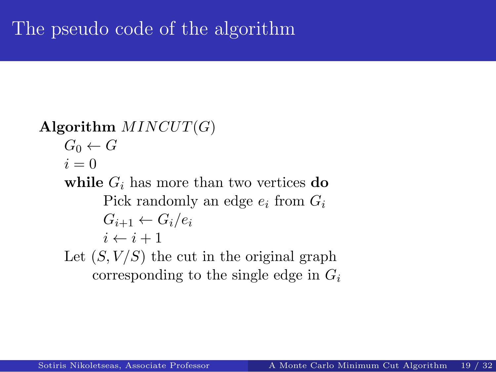# The pseudo code of the algorithm

**Algorithm** *MINCUT*(*G*)  $G_0 \leftarrow G$  $i=0$ while  $G_i$  has more than two vertices **do** Pick randomly an edge  $e_i$  from  $G_i$  $G_{i+1} \leftarrow G_i/e_i$  $i \leftarrow i + 1$ Let  $(S, V/S)$  the cut in the original graph corresponding to the single edge in *G<sup>i</sup>*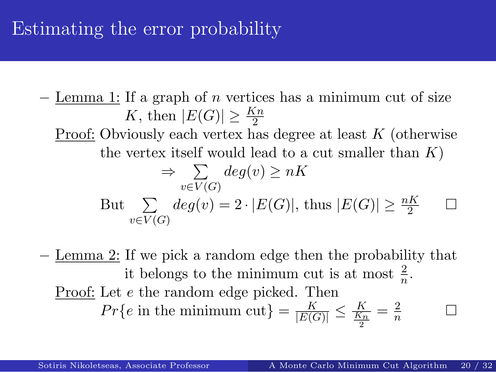### Estimating the error probability

- *−* Lemma 1: If a graph of *n* vertices has a minimum cut of size *K*, then  $|E(G)| \ge \frac{Kn}{2}$ <br><u>Proof:</u> Obviously each vertex has degree at least *K* (otherwise the vertex itself would lead to a cut smaller than  $K$ ) *⇒* ∑ *v∈V* (*G*) *deg*(*v*) *≥ nK* But ∑ *v∈V* (*G*)  $deg(v) = 2 \cdot |E(G)|$ , thus  $|E(G)| \ge \frac{nK}{2}$  □
- *−* Lemma 2: If we pick a random edge then the probability that it belongs to the minimum cut is at most  $\frac{2}{n}$ .
	- Proof: Let *e* the random edge picked. Then  $Pr\{e \text{ in the minimum cut}\} = \frac{K}{|E(G)|} \leq \frac{K}{\frac{K_n}{2}} = \frac{2}{n}$ *<sup>n</sup>* □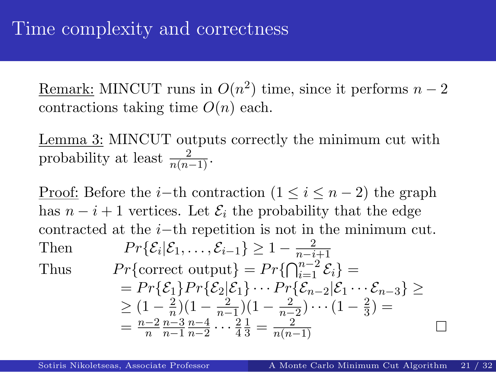# Time complexity and correctness

Remark: MINCUT runs in  $O(n^2)$  time, since it performs  $n-2$ contractions taking time  $O(n)$  each.

Lemma 3: MINCUT outputs correctly the minimum cut with probability at least  $\frac{2}{n(n-1)}$ .

Proof: Before the *i*−th contraction ( $1 \leq i \leq n-2$ ) the graph has  $n - i + 1$  vertices. Let  $\mathcal{E}_i$  the probability that the edge contracted at the *i−*th repetition is not in the minimum cut. Then  $Pr{\{\mathcal{E}_i | \mathcal{E}_1, ..., \mathcal{E}_{i-1}\}} \ge 1 - \frac{2}{n-i}$ *n−i*+1

Thus 
$$
Pr\{\text{correct output}\} = Pr\{\bigcap_{i=1}^{n-2} \mathcal{E}_i\} =
$$
  
\n
$$
= Pr\{\mathcal{E}_1\} Pr\{\mathcal{E}_2|\mathcal{E}_1\} \cdots Pr\{\mathcal{E}_{n-2}|\mathcal{E}_1 \cdots \mathcal{E}_{n-3}\} \ge
$$
\n
$$
\geq (1 - \frac{2}{n})(1 - \frac{2}{n-1})(1 - \frac{2}{n-2}) \cdots (1 - \frac{2}{3}) =
$$
\n
$$
= \frac{n-2}{n} \frac{n-3}{n-1} \frac{n-4}{n-2} \cdots \frac{2}{4} \frac{1}{3} = \frac{2}{n(n-1)}
$$

Sotiris Nikoletseas, Associate Professor A Monte Carlo Minimum Cut Algorithm 21 / 32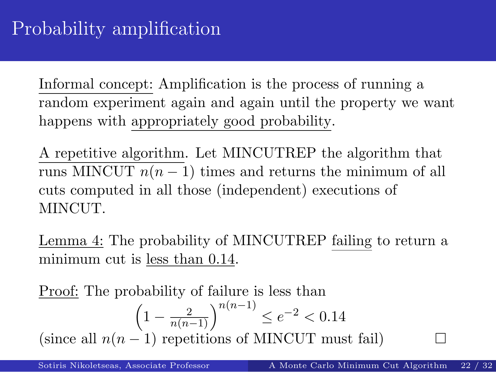### Probability amplification

Informal concept: Amplification is the process of running a random experiment again and again until the property we want happens with appropriately good probability.

A repetitive algorithm. Let MINCUTREP the algorithm that runs MINCUT  $n(n-1)$  times and returns the minimum of all cuts computed in all those (independent) executions of MINCUT.

Lemma 4: The probability of MINCUTREP failing to return a minimum cut is <u>less than 0.14</u>.

Proof: The probability of failure is less than *n*(*n−*1))*n*(*n−*1)

$$
\left(1 - \frac{2}{n(n-1)}\right)^{n(n-1)} \le e^{-2} < 0.14
$$
  
(since all  $n(n-1)$  repetitions of MINCUT must fail)

A Monte Carlo Minimum Cut Algorithm 22 / 32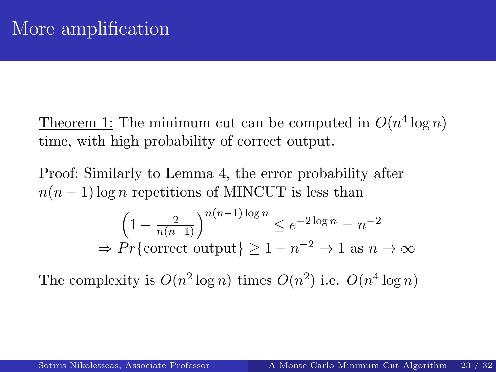# More amplification

Theorem 1: The minimum cut can be computed in  $O(n^4 \log n)$ time, with high probability of correct output.

Proof: Similarly to Lemma 4, the error probability after  $n(n-1)$  log *n* repetitions of MINCUT is less than

$$
\left(1 - \frac{2}{n(n-1)}\right)^{n(n-1)\log n} \le e^{-2\log n} = n^{-2}
$$
  
\n
$$
\Rightarrow Pr\{\text{correct output}\} \ge 1 - n^{-2} \to 1 \text{ as } n \to \infty
$$

The complexity is  $O(n^2 \log n)$  times  $O(n^2)$  i.e.  $O(n^4 \log n)$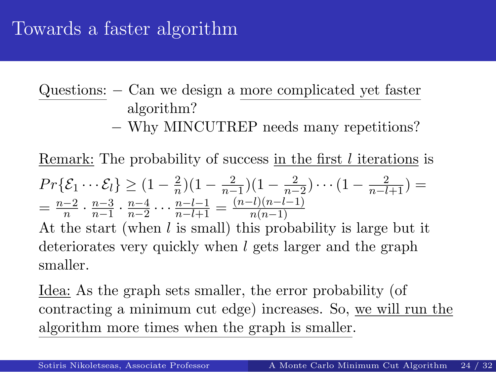### Towards a faster algorithm

- Questions: *−* Can we design a more complicated yet faster algorithm?
	- *−* Why MINCUTREP needs many repetitions?

Remark: The probability of success in the first *l* iterations is

 $Pr{\{\mathcal{E}_1 \cdots \mathcal{E}_l\}} \geq (1 - \frac{2}{n})$  $\frac{2}{n}$ )(1 −  $\frac{2}{n-1}$  $\frac{2}{n-1}$ )(1 –  $\frac{2}{n-1}$  $\frac{2}{n-2}$ ) · · ·  $(1 - \frac{2}{n-l+1})$  =  $=\frac{n-2}{n}\cdot\frac{n-3}{n-1}$  $\frac{n-3}{n-1} \cdot \frac{n-4}{n-2}$  $\frac{n-4}{n-2} \cdots \frac{n-l-1}{n-l+1} = \frac{(n-l)(n-l-1)}{n(n-1)}$ *n*(*n−*1)

At the start (when *l* is small) this probability is large but it deteriorates very quickly when *l* gets larger and the graph smaller.

Idea: As the graph sets smaller, the error probability (of contracting a minimum cut edge) increases. So, we will run the algorithm more times when the graph is smaller.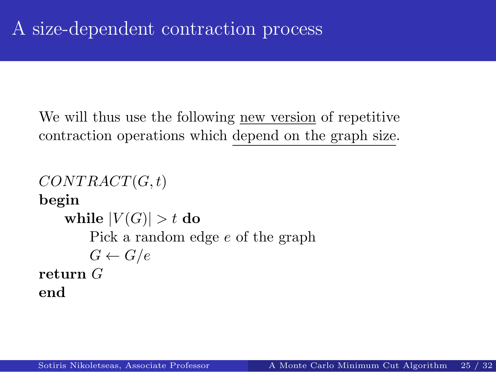# A size-dependent contraction process

We will thus use the following new version of repetitive contraction operations which depend on the graph size.

```
CONT RACT(G, t)
begin
   while |V(G)| > t do
       Pick a random edge e of the graph
       G \leftarrow G/ereturn G
end
```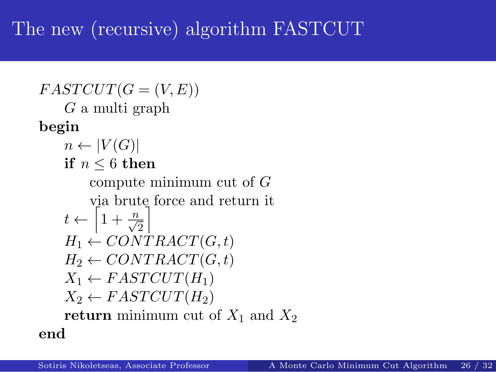# The new (recursive) algorithm FASTCUT

 $FASTCUT(G = (V, E))$ *G* a multi graph **begin**  $n \leftarrow |V(G)|$ **if**  $n \leq 6$  **then** compute minimum cut of *G* via brute force and return it  $t \leftarrow \left[1 + \frac{n}{\sqrt{2}}\right]$ Ĭ  $H_1 \leftarrow \text{CONTRACT}(G, t)$  $H_2 \leftarrow \text{CONTRACT}(G, t)$  $X_1 \leftarrow \text{FASTCUT}(H_1)$  $X_2 \leftarrow FASTCUT(H_2)$ **return** minimum cut of  $X_1$  and  $X_2$ **end**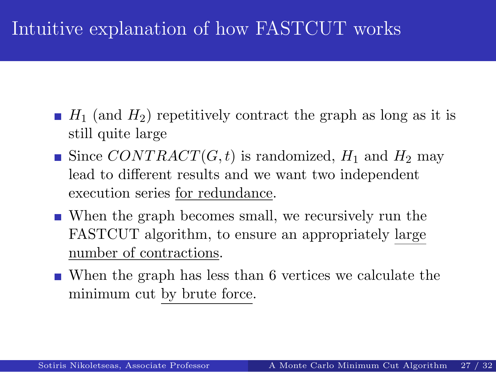## Intuitive explanation of how FASTCUT works

- $H_1$  (and  $H_2$ ) repetitively contract the graph as long as it is still quite large
- $\blacksquare$  Since  $CONTRACT(G, t)$  is randomized,  $H_1$  and  $H_2$  may lead to different results and we want two independent execution series for redundance.
- When the graph becomes small, we recursively run the FASTCUT algorithm, to ensure an appropriately large number of contractions.
- When the graph has less than 6 vertices we calculate the minimum cut by brute force.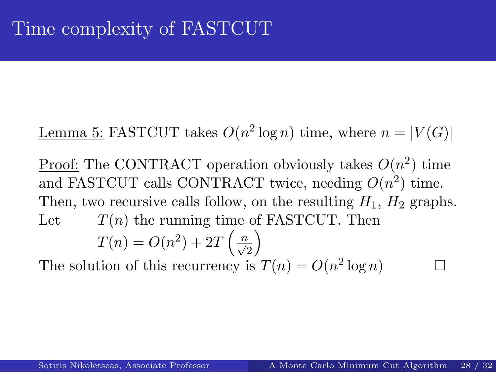## Time complexity of FASTCUT

<u>Lemma 5:</u> FASTCUT takes  $O(n^2 \log n)$  time, where  $n = |V(G)|$ 

Proof: The CONTRACT operation obviously takes  $O(n^2)$  time and FASTCUT calls CONTRACT twice, needing  $O(n^2)$  time. Then, two recursive calls follow, on the resulting  $H_1$ ,  $H_2$  graphs. Let  $T(n)$  the running time of FASTCUT. Then

$$
T(n) = O(n^2) + 2T\left(\frac{n}{\sqrt{2}}\right)
$$

The solution of this recurrency is  $T(n) = O(n^2 \log n)$  □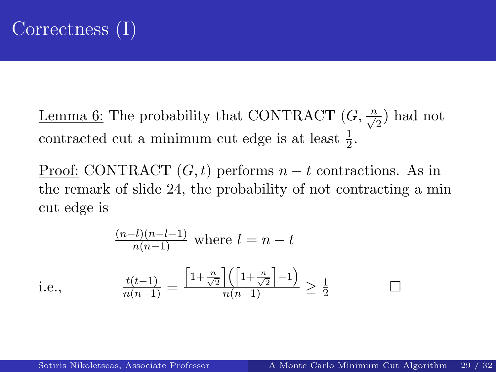# Correctness (I)

*i*.e.,

Lemma 6: The probability that CONTRACT  $(G, \frac{n}{\sqrt{2}})$  had not contracted cut a minimum cut edge is at least  $\frac{1}{2}$ .

<u>Proof:</u> CONTRACT  $(G, t)$  performs  $n - t$  contractions. As in the remark of slide 24, the probability of not contracting a min cut edge is

$$
\frac{(n-l)(n-l-1)}{n(n-1)}
$$
 where  $l = n - t$   

$$
\frac{t(t-1)}{n(n-1)} = \frac{\left[1 + \frac{n}{\sqrt{2}}\right] \left(\left[1 + \frac{n}{\sqrt{2}}\right] - 1\right)}{n(n-1)} \ge \frac{1}{2}
$$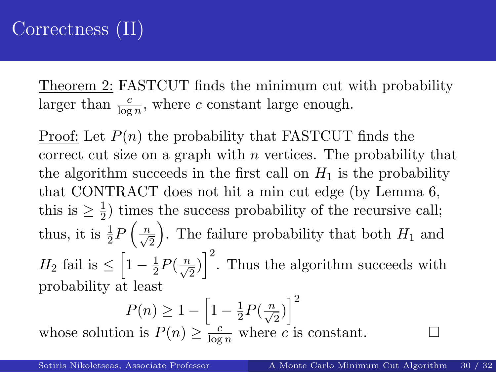### Correctness (II)

Theorem 2: FASTCUT finds the minimum cut with probability larger than  $\frac{c}{\log n}$ , where *c* constant large enough.

Proof: Let  $P(n)$  the probability that FASTCUT finds the correct cut size on a graph with *n* vertices. The probability that the algorithm succeeds in the first call on  $H_1$  is the probability that CONTRACT does not hit a min cut edge (by Lemma 6, this is  $\geq \frac{1}{2}$  $\frac{1}{2}$ ) times the success probability of the recursive call; thus, it is  $\frac{1}{2}P\left(\frac{n}{\sqrt{2}}\right)$ . The failure probability that both  $H_1$  and 2 *H*<sub>2</sub> fail is  $\leq$   $\left[1-\frac{1}{2}\right]$  $\frac{1}{2}P(\frac{n}{\sqrt{2}})\right]^2$ . Thus the algorithm succeeds with probability at least  $\begin{bmatrix} 1 & 1 & D(n) \end{bmatrix}^2$ 1

Sotiris Nikoletseas, Associate Professor And A Monte Carlo Minimum Cut Algorithm 30 / 32

$$
P(n) \ge 1 - \left[1 - \frac{1}{2}P\left(\frac{n}{\sqrt{2}}\right)\right]^2
$$

whose solution is  $P(n) \ge \frac{c}{\log n}$  where *c* is constant.  $\Box$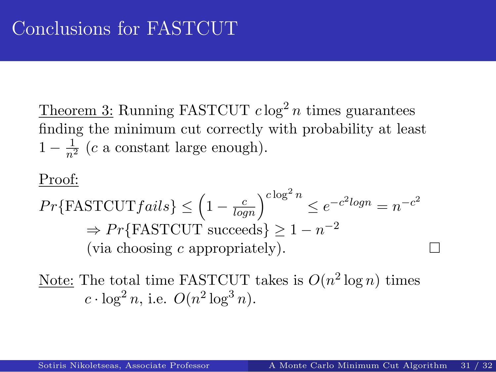## Conclusions for FASTCUT

Theorem 3: Running FASTCUT  $c \log^2 n$  times guarantees finding the minimum cut correctly with probability at least  $1 - \frac{1}{n^2}$  (*c* a constant large enough).

Proof:

 $Pr$ {FASTCUT*fails*}  $\leq (1 - \frac{c}{log n})^{c \log^2 n} \leq e^{-c^2 log n} = n^{-c^2}$ *⇒ P r{*FASTCUT succeeds*} ≥* 1 *− n −*2 (via choosing *c* appropriately).  $\Box$ 

Note: The total time FASTCUT takes is  $O(n^2 \log n)$  times  $c \cdot \log^2 n$ , i.e.  $O(n^2 \log^3 n)$ .